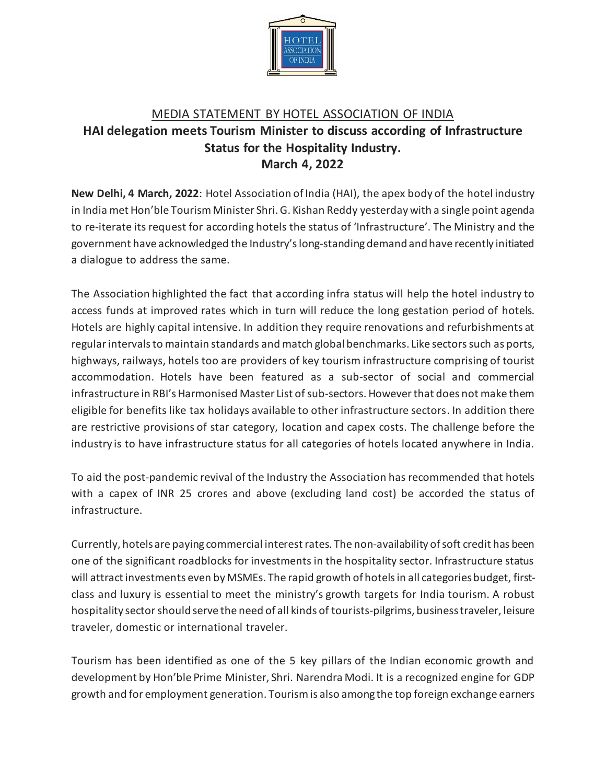

## MEDIA STATEMENT BY HOTEL ASSOCIATION OF INDIA **HAI delegation meets Tourism Minister to discuss according of Infrastructure Status for the Hospitality Industry. March 4, 2022**

**New Delhi, 4 March, 2022**: Hotel Association of India (HAI), the apex body of the hotel industry in India met Hon'ble Tourism Minister Shri. G. Kishan Reddy yesterday with a single point agenda to re-iterate its request for according hotels the status of 'Infrastructure'. The Ministry and the government have acknowledged the Industry'slong-standing demand and have recently initiated a dialogue to address the same.

The Association highlighted the fact that according infra status will help the hotel industry to access funds at improved rates which in turn will reduce the long gestation period of hotels. Hotels are highly capital intensive. In addition they require renovations and refurbishments at regular intervals to maintain standards and match global benchmarks. Like sectors such as ports, highways, railways, hotels too are providers of key tourism infrastructure comprising of tourist accommodation. Hotels have been featured as a sub-sector of social and commercial infrastructure in RBI's Harmonised Master List of sub-sectors. However that does not make them eligible for benefits like tax holidays available to other infrastructure sectors. In addition there are restrictive provisions of star category, location and capex costs. The challenge before the industry is to have infrastructure status for all categories of hotels located anywhere in India.

To aid the post-pandemic revival of the Industry the Association has recommended that hotels with a capex of INR 25 crores and above (excluding land cost) be accorded the status of infrastructure.

Currently, hotels are paying commercial interest rates. The non-availability of soft credit has been one of the significant roadblocks for investments in the hospitality sector. Infrastructure status will attract investments even by MSMEs. The rapid growth of hotels in all categories budget, firstclass and luxury is essential to meet the ministry's growth targets for India tourism. A robust hospitality sector should serve the need of all kinds of tourists-pilgrims, business traveler, leisure traveler, domestic or international traveler.

Tourism has been identified as one of the 5 key pillars of the Indian economic growth and development by Hon'ble Prime Minister, Shri. Narendra Modi. It is a recognized engine for GDP growth and for employment generation. Tourism is also among the top foreign exchange earners